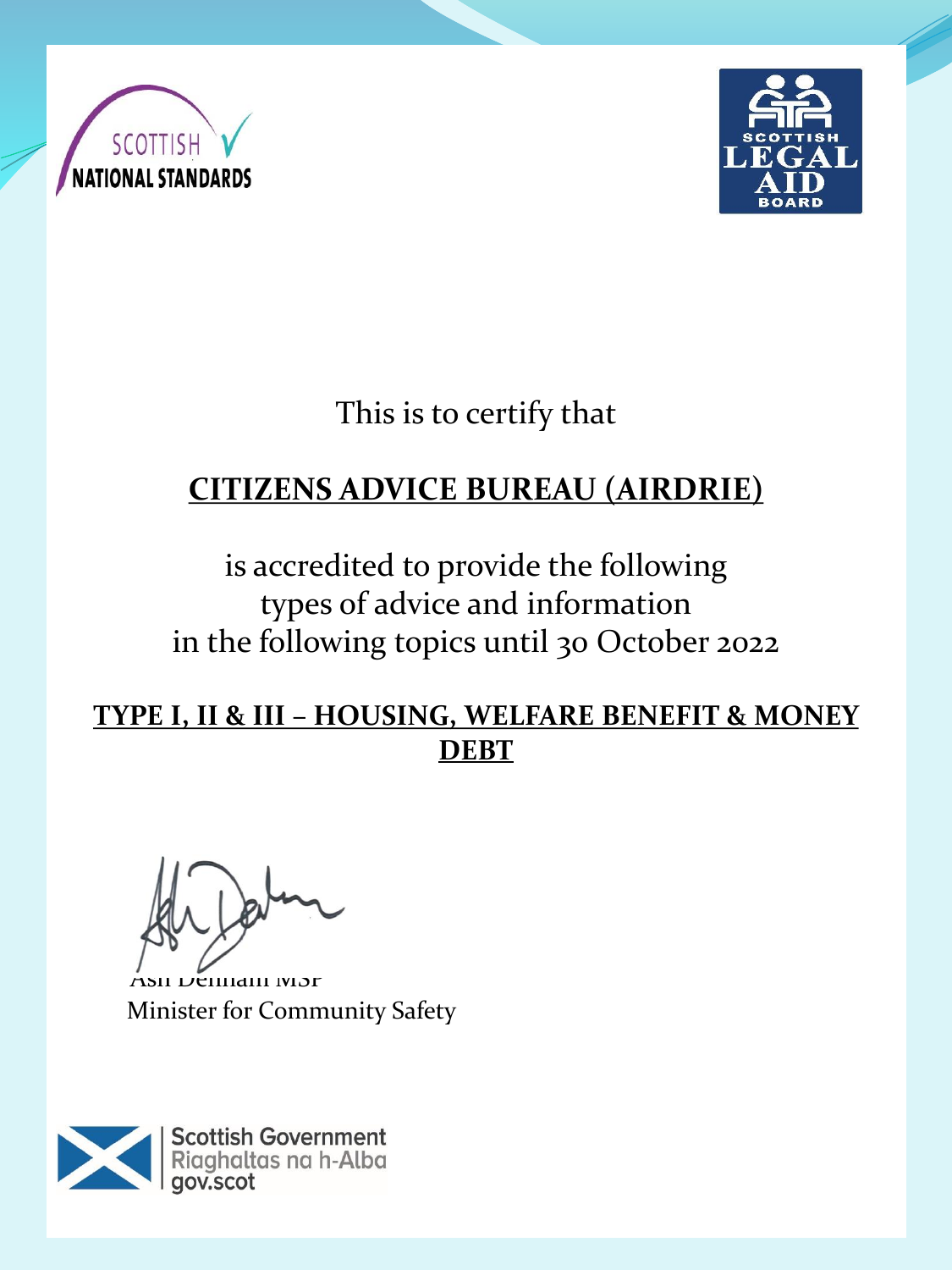



This is to certify that

# **CITIZENS ADVICE BUREAU (AIRDRIE)**

is accredited to provide the following types of advice and information in the following topics until 30 October 2022

#### **TYPE I, II & III – HOUSING, WELFARE BENEFIT & MONEY DEBT**

SII Denham MSP Minister for Community Safety

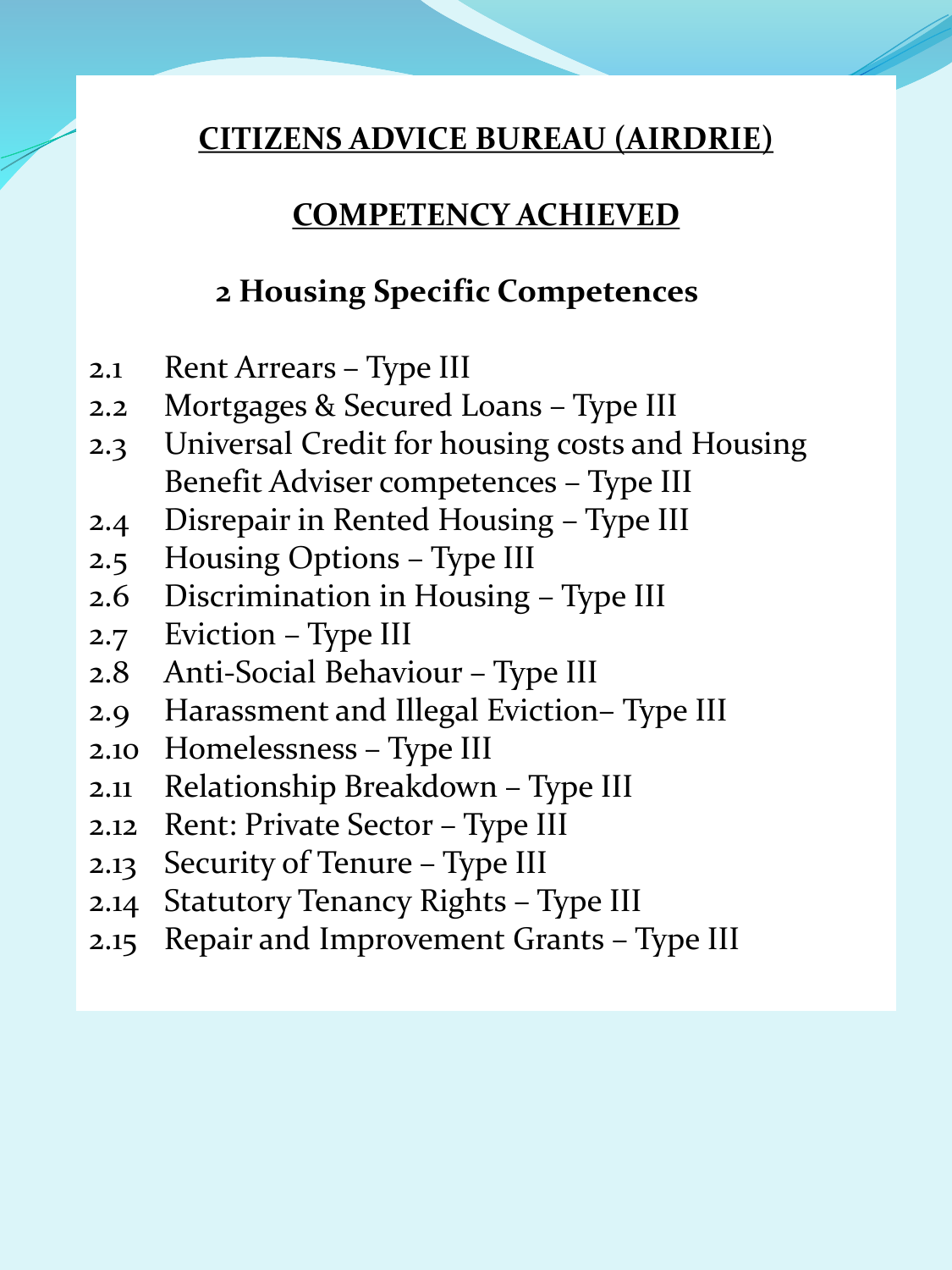### **COMPETENCY ACHIEVED**

## **2 Housing Specific Competences**

- 2.1 Rent Arrears Type III
- 2.2 Mortgages & Secured Loans Type III
- 2.3 Universal Credit for housing costs and Housing Benefit Adviser competences – Type III
- 2.4 Disrepair in Rented Housing Type III
- 2.5 Housing Options Type III
- 2.6 Discrimination in Housing Type III
- 2.7 Eviction Type III
- 2.8 Anti-Social Behaviour Type III
- 2.9 Harassment and Illegal Eviction– Type III
- 2.10 Homelessness Type III
- 2.11 Relationship Breakdown Type III
- 2.12 Rent: Private Sector Type III
- 2.13 Security of Tenure Type III
- 2.14 Statutory Tenancy Rights Type III
- 2.15 Repair and Improvement Grants Type III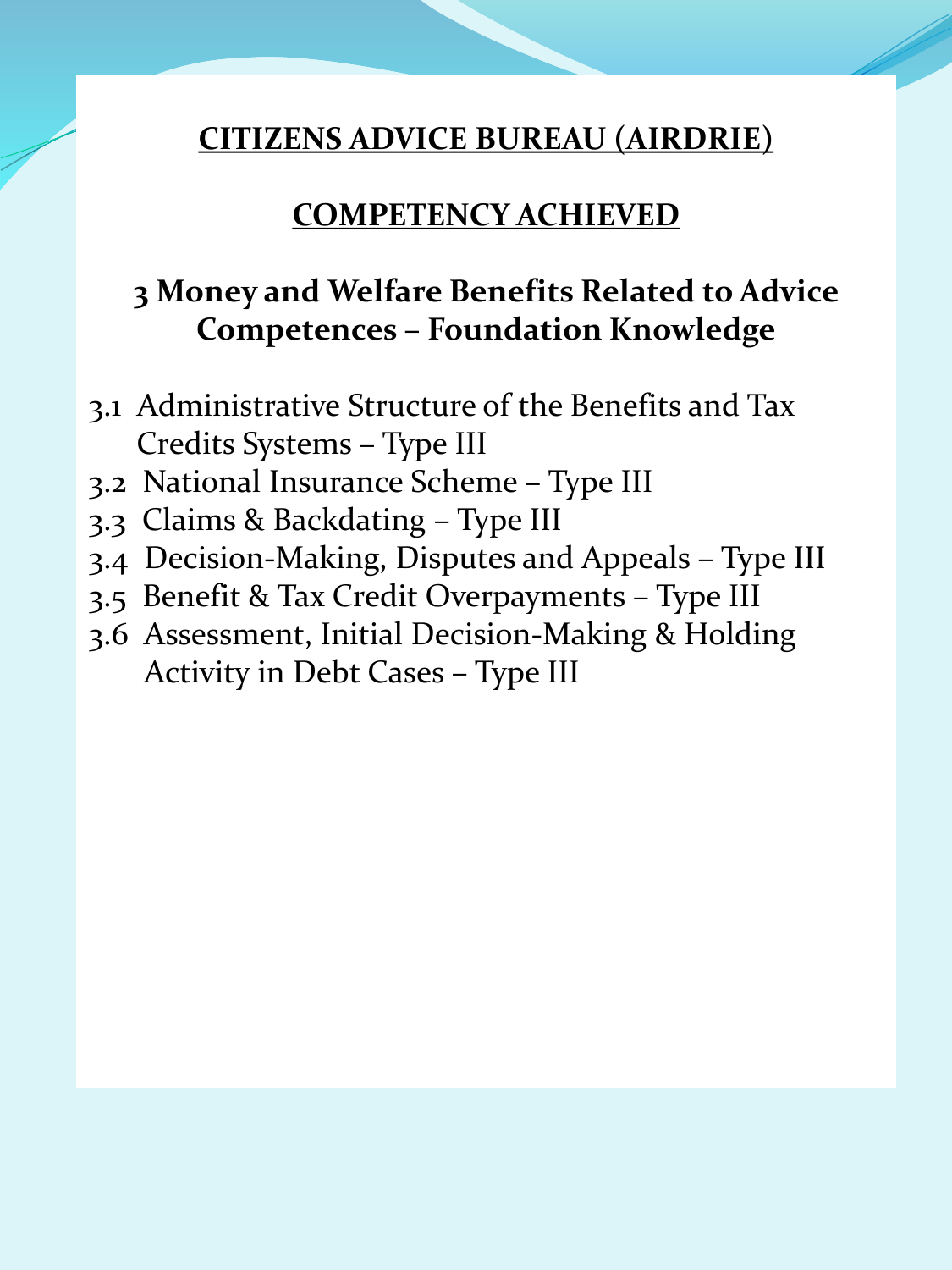#### **COMPETENCY ACHIEVED**

# **3 Money and Welfare Benefits Related to Advice Competences – Foundation Knowledge**

- 3.1 Administrative Structure of the Benefits and Tax Credits Systems – Type III
- 3.2 National Insurance Scheme Type III
- 3.3 Claims & Backdating Type III
- 3.4 Decision-Making, Disputes and Appeals Type III
- 3.5 Benefit & Tax Credit Overpayments Type III
- 3.6 Assessment, Initial Decision-Making & Holding Activity in Debt Cases – Type III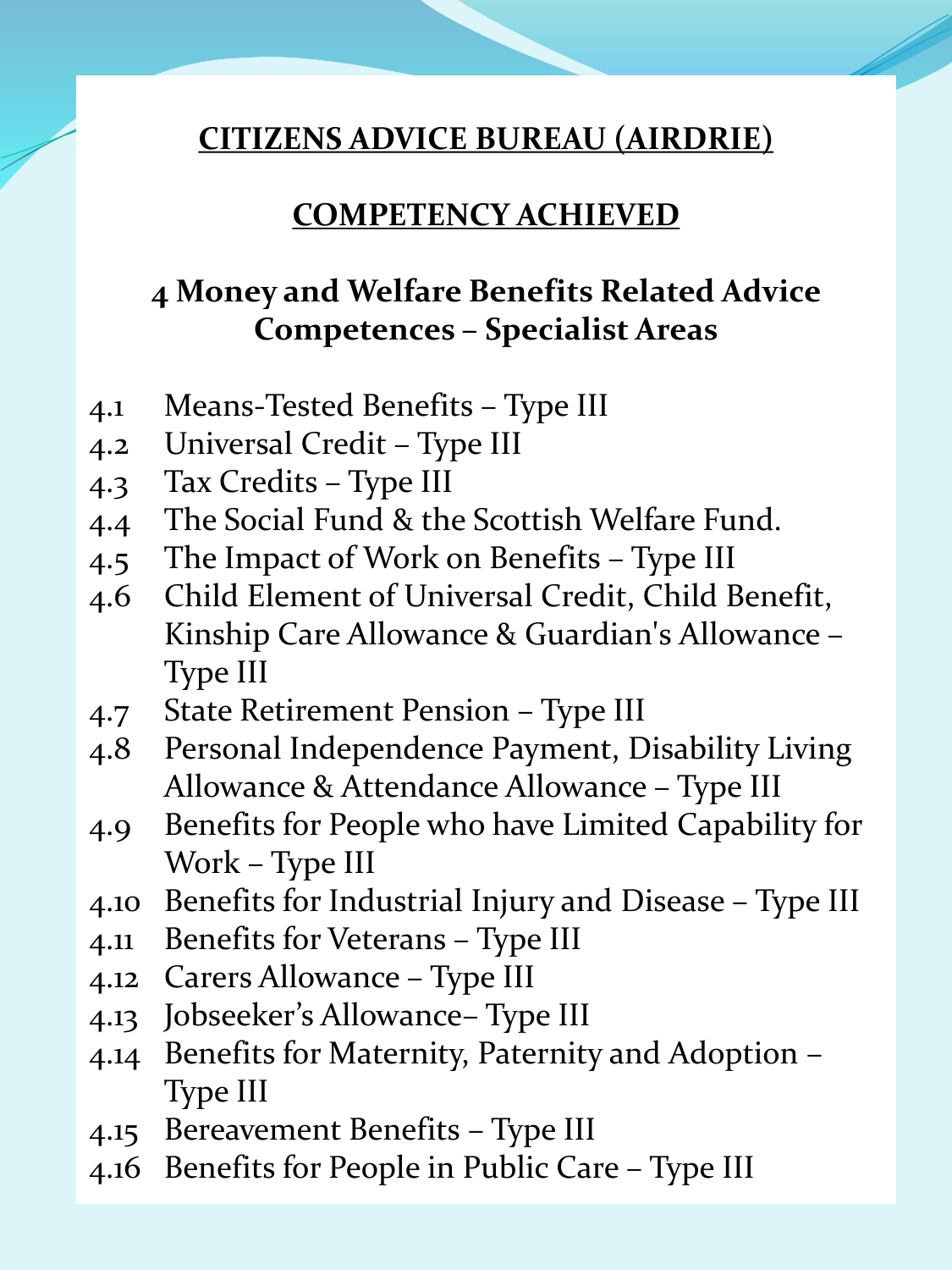#### **COMPETENCY ACHIEVED**

# **4 Money and Welfare Benefits Related Advice Competences – Specialist Areas**

- 4.1 Means-Tested Benefits Type III
- 4.2 Universal Credit Type III
- 4.3 Tax Credits Type III
- 4.4 The Social Fund & the Scottish Welfare Fund.
- 4.5 The Impact of Work on Benefits Type III
- 4.6 Child Element of Universal Credit, Child Benefit, Kinship Care Allowance & Guardian's Allowance – Type III
- 4.7 State Retirement Pension Type III
- 4.8 Personal Independence Payment, Disability Living Allowance & Attendance Allowance – Type III
- 4.9 Benefits for People who have Limited Capability for Work – Type III
- 4.10 Benefits for Industrial Injury and Disease Type III
- 4.11 Benefits for Veterans Type III
- 4.12 Carers Allowance Type III
- 4.13 Jobseeker's Allowance– Type III
- 4.14 Benefits for Maternity, Paternity and Adoption Type III
- 4.15 Bereavement Benefits Type III
- 4.16 Benefits for People in Public Care Type III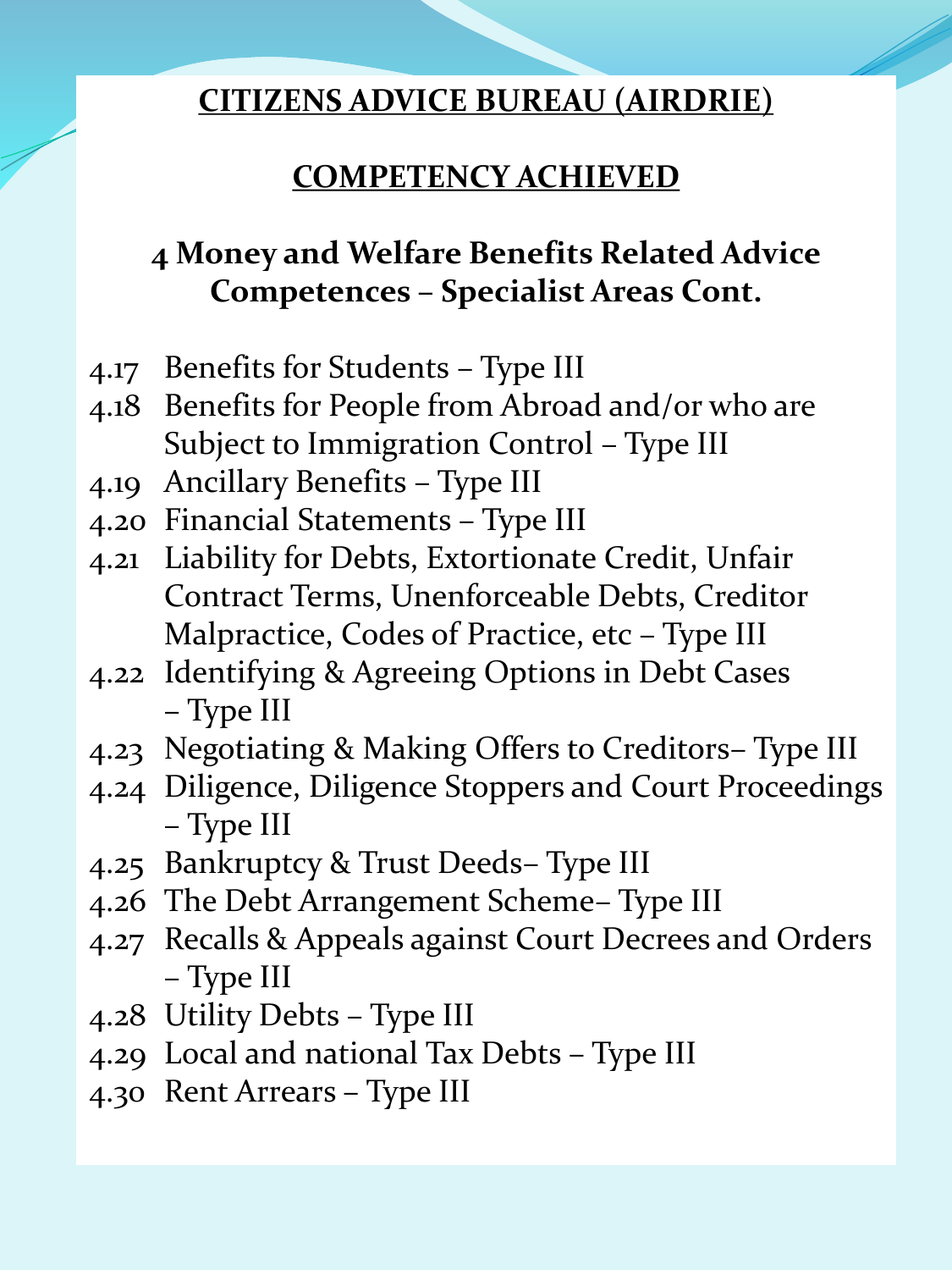# **COMPETENCY ACHIEVED**

# **4 Money and Welfare Benefits Related Advice Competences – Specialist Areas Cont.**

- 4.17 Benefits for Students Type III
- 4.18 Benefits for People from Abroad and/or who are Subject to Immigration Control – Type III
- 4.19 Ancillary Benefits Type III
- 4.20 Financial Statements Type III
- 4.21 Liability for Debts, Extortionate Credit, Unfair Contract Terms, Unenforceable Debts, Creditor Malpractice, Codes of Practice, etc – Type III
- 4.22 Identifying & Agreeing Options in Debt Cases – Type III
- 4.23 Negotiating & Making Offers to Creditors– Type III
- 4.24 Diligence, Diligence Stoppers and Court Proceedings – Type III
- 4.25 Bankruptcy & Trust Deeds– Type III
- 4.26 The Debt Arrangement Scheme– Type III
- 4.27 Recalls & Appeals against Court Decrees and Orders – Type III
- 4.28 Utility Debts Type III
- 4.29 Local and national Tax Debts Type III
- 4.30 Rent Arrears Type III